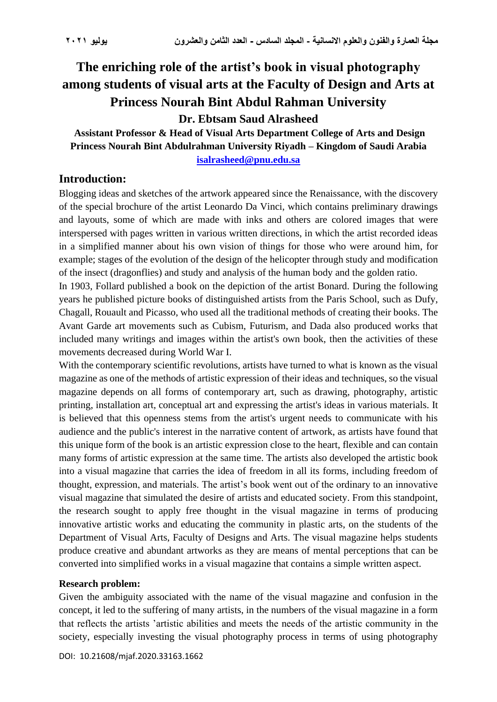# **The enriching role of the artist's book in visual photography among students of visual arts at the Faculty of Design and Arts at Princess Nourah Bint Abdul Rahman University**

**Dr. Ebtsam Saud Alrasheed**

**Assistant Professor & Head of Visual Arts Department College of Arts and Design Princess Nourah Bint Abdulrahman University Riyadh – Kingdom of Saudi Arabia [isalrasheed@pnu.edu.sa](mailto:isalrasheed@pnu.edu.sa)**

# **Introduction:**

Blogging ideas and sketches of the artwork appeared since the Renaissance, with the discovery of the special brochure of the artist Leonardo Da Vinci, which contains preliminary drawings and layouts, some of which are made with inks and others are colored images that were interspersed with pages written in various written directions, in which the artist recorded ideas in a simplified manner about his own vision of things for those who were around him, for example; stages of the evolution of the design of the helicopter through study and modification of the insect (dragonflies) and study and analysis of the human body and the golden ratio.

In 1903, Follard published a book on the depiction of the artist Bonard. During the following years he published picture books of distinguished artists from the Paris School, such as Dufy, Chagall, Rouault and Picasso, who used all the traditional methods of creating their books. The Avant Garde art movements such as Cubism, Futurism, and Dada also produced works that included many writings and images within the artist's own book, then the activities of these movements decreased during World War I.

With the contemporary scientific revolutions, artists have turned to what is known as the visual magazine as one of the methods of artistic expression of their ideas and techniques, so the visual magazine depends on all forms of contemporary art, such as drawing, photography, artistic printing, installation art, conceptual art and expressing the artist's ideas in various materials. It is believed that this openness stems from the artist's urgent needs to communicate with his audience and the public's interest in the narrative content of artwork, as artists have found that this unique form of the book is an artistic expression close to the heart, flexible and can contain many forms of artistic expression at the same time. The artists also developed the artistic book into a visual magazine that carries the idea of freedom in all its forms, including freedom of thought, expression, and materials. The artist's book went out of the ordinary to an innovative visual magazine that simulated the desire of artists and educated society. From this standpoint, the research sought to apply free thought in the visual magazine in terms of producing innovative artistic works and educating the community in plastic arts, on the students of the Department of Visual Arts, Faculty of Designs and Arts. The visual magazine helps students produce creative and abundant artworks as they are means of mental perceptions that can be converted into simplified works in a visual magazine that contains a simple written aspect.

#### **Research problem:**

Given the ambiguity associated with the name of the visual magazine and confusion in the concept, it led to the suffering of many artists, in the numbers of the visual magazine in a form that reflects the artists 'artistic abilities and meets the needs of the artistic community in the society, especially investing the visual photography process in terms of using photography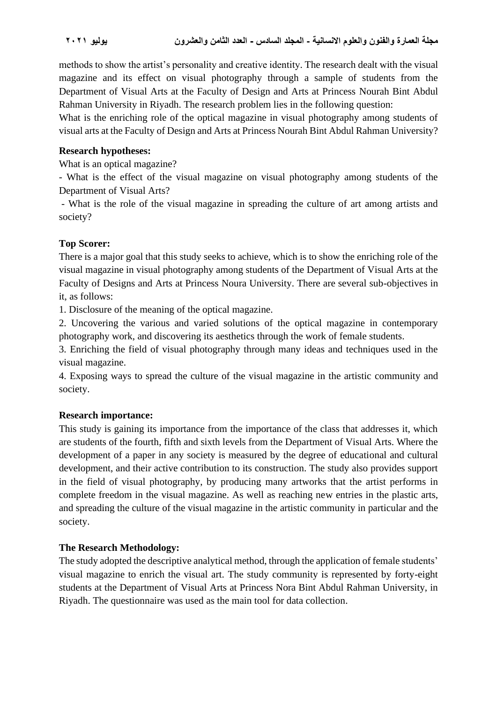methods to show the artist's personality and creative identity. The research dealt with the visual magazine and its effect on visual photography through a sample of students from the Department of Visual Arts at the Faculty of Design and Arts at Princess Nourah Bint Abdul Rahman University in Riyadh. The research problem lies in the following question:

What is the enriching role of the optical magazine in visual photography among students of visual arts at the Faculty of Design and Arts at Princess Nourah Bint Abdul Rahman University?

#### **Research hypotheses:**

What is an optical magazine?

- What is the effect of the visual magazine on visual photography among students of the Department of Visual Arts?

- What is the role of the visual magazine in spreading the culture of art among artists and society?

### **Top Scorer:**

There is a major goal that this study seeks to achieve, which is to show the enriching role of the visual magazine in visual photography among students of the Department of Visual Arts at the Faculty of Designs and Arts at Princess Noura University. There are several sub-objectives in it, as follows:

1. Disclosure of the meaning of the optical magazine.

2. Uncovering the various and varied solutions of the optical magazine in contemporary photography work, and discovering its aesthetics through the work of female students.

3. Enriching the field of visual photography through many ideas and techniques used in the visual magazine.

4. Exposing ways to spread the culture of the visual magazine in the artistic community and society.

### **Research importance:**

This study is gaining its importance from the importance of the class that addresses it, which are students of the fourth, fifth and sixth levels from the Department of Visual Arts. Where the development of a paper in any society is measured by the degree of educational and cultural development, and their active contribution to its construction. The study also provides support in the field of visual photography, by producing many artworks that the artist performs in complete freedom in the visual magazine. As well as reaching new entries in the plastic arts, and spreading the culture of the visual magazine in the artistic community in particular and the society.

### **The Research Methodology:**

The study adopted the descriptive analytical method, through the application of female students' visual magazine to enrich the visual art. The study community is represented by forty-eight students at the Department of Visual Arts at Princess Nora Bint Abdul Rahman University, in Riyadh. The questionnaire was used as the main tool for data collection.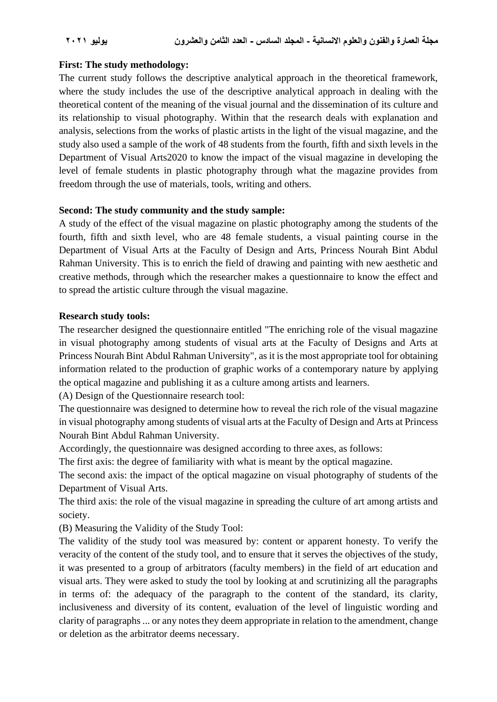#### **First: The study methodology:**

The current study follows the descriptive analytical approach in the theoretical framework, where the study includes the use of the descriptive analytical approach in dealing with the theoretical content of the meaning of the visual journal and the dissemination of its culture and its relationship to visual photography. Within that the research deals with explanation and analysis, selections from the works of plastic artists in the light of the visual magazine, and the study also used a sample of the work of 48 students from the fourth, fifth and sixth levels in the Department of Visual Arts2020 to know the impact of the visual magazine in developing the level of female students in plastic photography through what the magazine provides from freedom through the use of materials, tools, writing and others.

#### **Second: The study community and the study sample:**

A study of the effect of the visual magazine on plastic photography among the students of the fourth, fifth and sixth level, who are 48 female students, a visual painting course in the Department of Visual Arts at the Faculty of Design and Arts, Princess Nourah Bint Abdul Rahman University. This is to enrich the field of drawing and painting with new aesthetic and creative methods, through which the researcher makes a questionnaire to know the effect and to spread the artistic culture through the visual magazine.

#### **Research study tools:**

The researcher designed the questionnaire entitled "The enriching role of the visual magazine in visual photography among students of visual arts at the Faculty of Designs and Arts at Princess Nourah Bint Abdul Rahman University", as it is the most appropriate tool for obtaining information related to the production of graphic works of a contemporary nature by applying the optical magazine and publishing it as a culture among artists and learners.

(A) Design of the Questionnaire research tool:

The questionnaire was designed to determine how to reveal the rich role of the visual magazine in visual photography among students of visual arts at the Faculty of Design and Arts at Princess Nourah Bint Abdul Rahman University.

Accordingly, the questionnaire was designed according to three axes, as follows:

The first axis: the degree of familiarity with what is meant by the optical magazine.

The second axis: the impact of the optical magazine on visual photography of students of the Department of Visual Arts.

The third axis: the role of the visual magazine in spreading the culture of art among artists and society.

(B) Measuring the Validity of the Study Tool:

The validity of the study tool was measured by: content or apparent honesty. To verify the veracity of the content of the study tool, and to ensure that it serves the objectives of the study, it was presented to a group of arbitrators (faculty members) in the field of art education and visual arts. They were asked to study the tool by looking at and scrutinizing all the paragraphs in terms of: the adequacy of the paragraph to the content of the standard, its clarity, inclusiveness and diversity of its content, evaluation of the level of linguistic wording and clarity of paragraphs ... or any notes they deem appropriate in relation to the amendment, change or deletion as the arbitrator deems necessary.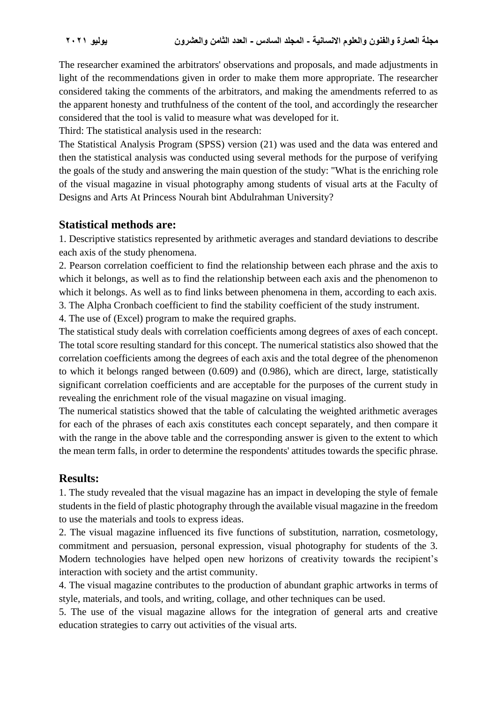The researcher examined the arbitrators' observations and proposals, and made adjustments in light of the recommendations given in order to make them more appropriate. The researcher considered taking the comments of the arbitrators, and making the amendments referred to as the apparent honesty and truthfulness of the content of the tool, and accordingly the researcher considered that the tool is valid to measure what was developed for it.

Third: The statistical analysis used in the research:

The Statistical Analysis Program (SPSS) version (21) was used and the data was entered and then the statistical analysis was conducted using several methods for the purpose of verifying the goals of the study and answering the main question of the study: "What is the enriching role of the visual magazine in visual photography among students of visual arts at the Faculty of Designs and Arts At Princess Nourah bint Abdulrahman University?

# **Statistical methods are:**

1. Descriptive statistics represented by arithmetic averages and standard deviations to describe each axis of the study phenomena.

2. Pearson correlation coefficient to find the relationship between each phrase and the axis to which it belongs, as well as to find the relationship between each axis and the phenomenon to which it belongs. As well as to find links between phenomena in them, according to each axis. 3. The Alpha Cronbach coefficient to find the stability coefficient of the study instrument.

4. The use of (Excel) program to make the required graphs.

The statistical study deals with correlation coefficients among degrees of axes of each concept. The total score resulting standard for this concept. The numerical statistics also showed that the correlation coefficients among the degrees of each axis and the total degree of the phenomenon to which it belongs ranged between (0.609) and (0.986), which are direct, large, statistically significant correlation coefficients and are acceptable for the purposes of the current study in revealing the enrichment role of the visual magazine on visual imaging.

The numerical statistics showed that the table of calculating the weighted arithmetic averages for each of the phrases of each axis constitutes each concept separately, and then compare it with the range in the above table and the corresponding answer is given to the extent to which the mean term falls, in order to determine the respondents' attitudes towards the specific phrase.

# **Results:**

1. The study revealed that the visual magazine has an impact in developing the style of female students in the field of plastic photography through the available visual magazine in the freedom to use the materials and tools to express ideas.

2. The visual magazine influenced its five functions of substitution, narration, cosmetology, commitment and persuasion, personal expression, visual photography for students of the 3. Modern technologies have helped open new horizons of creativity towards the recipient's interaction with society and the artist community.

4. The visual magazine contributes to the production of abundant graphic artworks in terms of style, materials, and tools, and writing, collage, and other techniques can be used.

5. The use of the visual magazine allows for the integration of general arts and creative education strategies to carry out activities of the visual arts.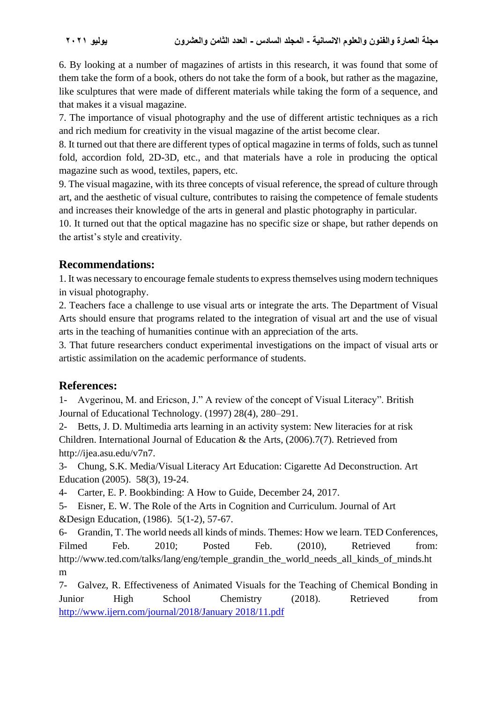6. By looking at a number of magazines of artists in this research, it was found that some of them take the form of a book, others do not take the form of a book, but rather as the magazine, like sculptures that were made of different materials while taking the form of a sequence, and that makes it a visual magazine.

7. The importance of visual photography and the use of different artistic techniques as a rich and rich medium for creativity in the visual magazine of the artist become clear.

8. It turned out that there are different types of optical magazine in terms of folds, such as tunnel fold, accordion fold, 2D-3D, etc., and that materials have a role in producing the optical magazine such as wood, textiles, papers, etc.

9. The visual magazine, with its three concepts of visual reference, the spread of culture through art, and the aesthetic of visual culture, contributes to raising the competence of female students and increases their knowledge of the arts in general and plastic photography in particular.

10. It turned out that the optical magazine has no specific size or shape, but rather depends on the artist's style and creativity.

# **Recommendations:**

1. It was necessary to encourage female students to express themselves using modern techniques in visual photography.

2. Teachers face a challenge to use visual arts or integrate the arts. The Department of Visual Arts should ensure that programs related to the integration of visual art and the use of visual arts in the teaching of humanities continue with an appreciation of the arts.

3. That future researchers conduct experimental investigations on the impact of visual arts or artistic assimilation on the academic performance of students.

# **References :**

1- Avgerinou, M. and Ericson, J." A review of the concept of Visual Literacy". British Journal of Educational Technology. (1997) 28(4), 280–291.

2- Betts, J. D. Multimedia arts learning in an activity system: New literacies for at risk Children. International Journal of Education & the Arts, (2006).7(7). Retrieved from http://ijea.asu.edu/v7n7.

3- Chung, S.K. Media/Visual Literacy Art Education: Cigarette Ad Deconstruction. Art Education (2005). 58(3), 19-24.

4- Carter, E. P. Bookbinding: A How to Guide, December 24, 2017.

5- Eisner, E. W. The Role of the Arts in Cognition and Curriculum. Journal of Art &Design Education, (1986). 5(1-2), 57-67.

6- Grandin, T. The world needs all kinds of minds. Themes: How we learn. TED Conferences, Filmed Feb. 2010; Posted Feb. (2010), Retrieved from: http://www.ted.com/talks/lang/eng/temple\_grandin\_the\_world\_needs\_all\_kinds\_of\_minds.ht m

7- Galvez, R. Effectiveness of Animated Visuals for the Teaching of Chemical Bonding in Junior High School Chemistry (2018). Retrieved from [http://www.ijern.com/journal/2018/January 2018/11.pdf](http://www.ijern.com/journal/2018/January%202018/11.pdf)